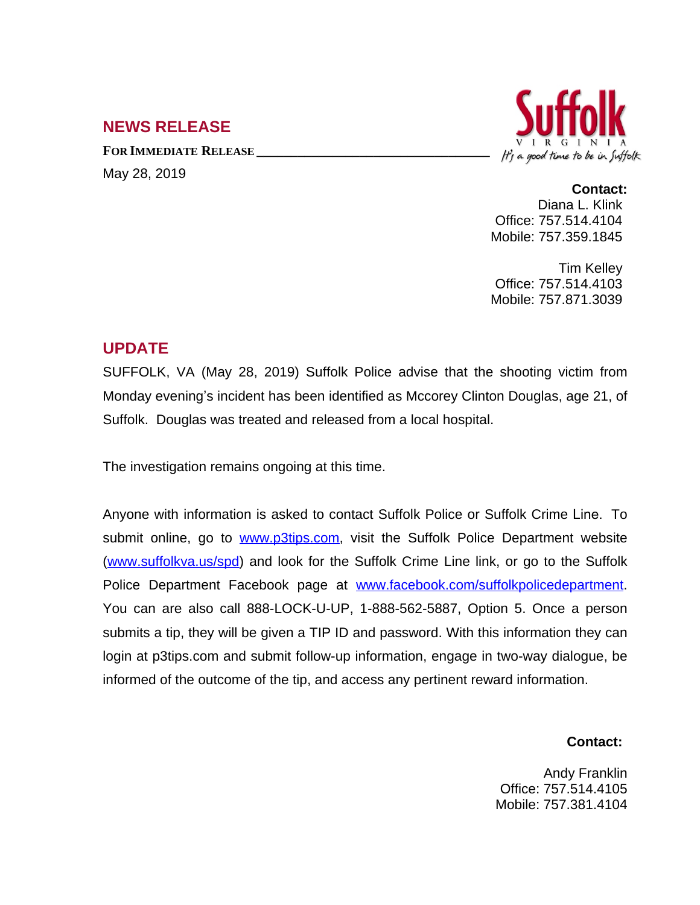# **NEWS RELEASE**

**FOR IMMEDIATE RELEASE \_\_\_\_\_\_\_\_\_\_\_\_\_\_\_\_\_\_\_\_\_\_\_\_\_\_\_\_\_\_\_\_\_\_** May 28, 2019



#### **Contact:**

Diana L. Klink Office: 757.514.4104 Mobile: 757.359.1845

Tim Kelley Office: 757.514.4103 Mobile: 757.871.3039

## **UPDATE**

SUFFOLK, VA (May 28, 2019) Suffolk Police advise that the shooting victim from Monday evening's incident has been identified as Mccorey Clinton Douglas, age 21, of Suffolk. Douglas was treated and released from a local hospital.

The investigation remains ongoing at this time.

Anyone with information is asked to contact Suffolk Police or Suffolk Crime Line. To submit online, go to [www.p3tips.com](http://www.p3tips.com), visit the Suffolk Police Department website ([www.suffolkva.us/spd](http://www.suffolkva.us/spd)) and look for the Suffolk Crime Line link, or go to the Suffolk Police Department Facebook page at [www.facebook.com/suffolkpolicedepartment.](http://www.facebook.com/suffolkpolicedepartment) You can are also call 888-LOCK-U-UP, 1-888-562-5887, Option 5. Once a person submits a tip, they will be given a TIP ID and password. With this information they can login at p3tips.com and submit follow-up information, engage in two-way dialogue, be informed of the outcome of the tip, and access any pertinent reward information.

#### **Contact:**

Andy Franklin Office: 757.514.4105 Mobile: 757.381.4104